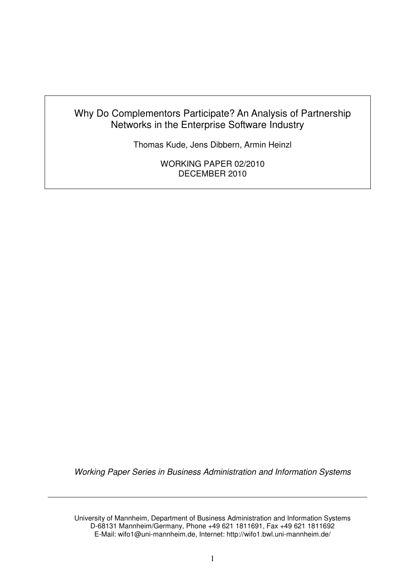# Why Do Complementors Participate? An Analysis of Partnership Networks in the Enterprise Software Industry

Thomas Kude, Jens Dibbern, Armin Heinzl

WORKING PAPER 02/2010 DECEMBER 2010

Working Paper Series in Business Administration and Information Systems

University of Mannheim, Department of Business Administration and Information Systems D-68131 Mannheim/Germany, Phone +49 621 1811691, Fax +49 621 1811692 E-Mail: wifo1@uni-mannheim.de, Internet: http://wifo1.bwl.uni-mannheim.de/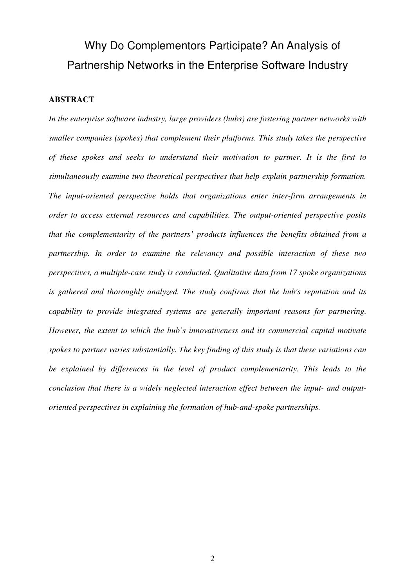# Why Do Complementors Participate? An Analysis of Partnership Networks in the Enterprise Software Industry

## **ABSTRACT**

*In the enterprise software industry, large providers (hubs) are fostering partner networks with smaller companies (spokes) that complement their platforms. This study takes the perspective of these spokes and seeks to understand their motivation to partner. It is the first to simultaneously examine two theoretical perspectives that help explain partnership formation. The input-oriented perspective holds that organizations enter inter-firm arrangements in order to access external resources and capabilities. The output-oriented perspective posits that the complementarity of the partners' products influences the benefits obtained from a partnership. In order to examine the relevancy and possible interaction of these two perspectives, a multiple-case study is conducted. Qualitative data from 17 spoke organizations is gathered and thoroughly analyzed. The study confirms that the hub's reputation and its capability to provide integrated systems are generally important reasons for partnering. However, the extent to which the hub's innovativeness and its commercial capital motivate spokes to partner varies substantially. The key finding of this study is that these variations can be explained by differences in the level of product complementarity. This leads to the conclusion that there is a widely neglected interaction effect between the input- and outputoriented perspectives in explaining the formation of hub-and-spoke partnerships.*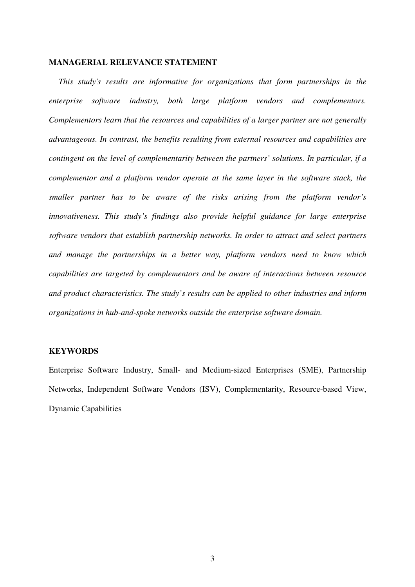#### **MANAGERIAL RELEVANCE STATEMENT**

*This study's results are informative for organizations that form partnerships in the enterprise software industry, both large platform vendors and complementors. Complementors learn that the resources and capabilities of a larger partner are not generally advantageous. In contrast, the benefits resulting from external resources and capabilities are contingent on the level of complementarity between the partners' solutions. In particular, if a complementor and a platform vendor operate at the same layer in the software stack, the smaller partner has to be aware of the risks arising from the platform vendor's innovativeness. This study's findings also provide helpful guidance for large enterprise software vendors that establish partnership networks. In order to attract and select partners and manage the partnerships in a better way, platform vendors need to know which capabilities are targeted by complementors and be aware of interactions between resource and product characteristics. The study's results can be applied to other industries and inform organizations in hub-and-spoke networks outside the enterprise software domain.* 

#### **KEYWORDS**

Enterprise Software Industry, Small- and Medium-sized Enterprises (SME), Partnership Networks, Independent Software Vendors (ISV), Complementarity, Resource-based View, Dynamic Capabilities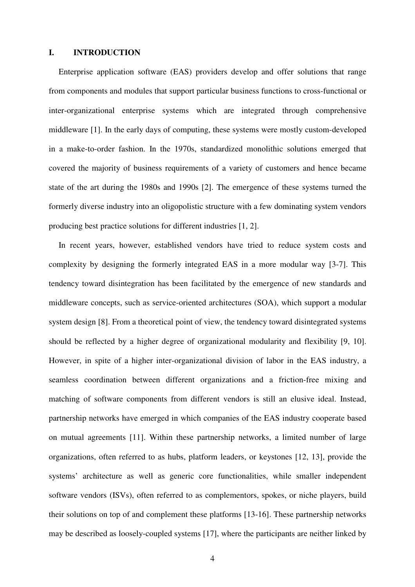## **I. INTRODUCTION**

Enterprise application software (EAS) providers develop and offer solutions that range from components and modules that support particular business functions to cross-functional or inter-organizational enterprise systems which are integrated through comprehensive middleware [1]. In the early days of computing, these systems were mostly custom-developed in a make-to-order fashion. In the 1970s, standardized monolithic solutions emerged that covered the majority of business requirements of a variety of customers and hence became state of the art during the 1980s and 1990s [2]. The emergence of these systems turned the formerly diverse industry into an oligopolistic structure with a few dominating system vendors producing best practice solutions for different industries [1, 2].

In recent years, however, established vendors have tried to reduce system costs and complexity by designing the formerly integrated EAS in a more modular way [3-7]. This tendency toward disintegration has been facilitated by the emergence of new standards and middleware concepts, such as service-oriented architectures (SOA), which support a modular system design [8]. From a theoretical point of view, the tendency toward disintegrated systems should be reflected by a higher degree of organizational modularity and flexibility [9, 10]. However, in spite of a higher inter-organizational division of labor in the EAS industry, a seamless coordination between different organizations and a friction-free mixing and matching of software components from different vendors is still an elusive ideal. Instead, partnership networks have emerged in which companies of the EAS industry cooperate based on mutual agreements [11]. Within these partnership networks, a limited number of large organizations, often referred to as hubs, platform leaders, or keystones [12, 13], provide the systems' architecture as well as generic core functionalities, while smaller independent software vendors (ISVs), often referred to as complementors, spokes, or niche players, build their solutions on top of and complement these platforms [13-16]. These partnership networks may be described as loosely-coupled systems [17], where the participants are neither linked by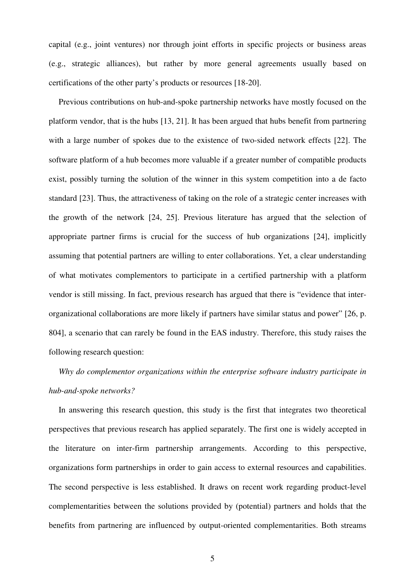capital (e.g., joint ventures) nor through joint efforts in specific projects or business areas (e.g., strategic alliances), but rather by more general agreements usually based on certifications of the other party's products or resources [18-20].

Previous contributions on hub-and-spoke partnership networks have mostly focused on the platform vendor, that is the hubs [13, 21]. It has been argued that hubs benefit from partnering with a large number of spokes due to the existence of two-sided network effects [22]. The software platform of a hub becomes more valuable if a greater number of compatible products exist, possibly turning the solution of the winner in this system competition into a de facto standard [23]. Thus, the attractiveness of taking on the role of a strategic center increases with the growth of the network [24, 25]. Previous literature has argued that the selection of appropriate partner firms is crucial for the success of hub organizations [24], implicitly assuming that potential partners are willing to enter collaborations. Yet, a clear understanding of what motivates complementors to participate in a certified partnership with a platform vendor is still missing. In fact, previous research has argued that there is "evidence that interorganizational collaborations are more likely if partners have similar status and power" [26, p. 804], a scenario that can rarely be found in the EAS industry. Therefore, this study raises the following research question:

# *Why do complementor organizations within the enterprise software industry participate in hub-and-spoke networks?*

In answering this research question, this study is the first that integrates two theoretical perspectives that previous research has applied separately. The first one is widely accepted in the literature on inter-firm partnership arrangements. According to this perspective, organizations form partnerships in order to gain access to external resources and capabilities. The second perspective is less established. It draws on recent work regarding product-level complementarities between the solutions provided by (potential) partners and holds that the benefits from partnering are influenced by output-oriented complementarities. Both streams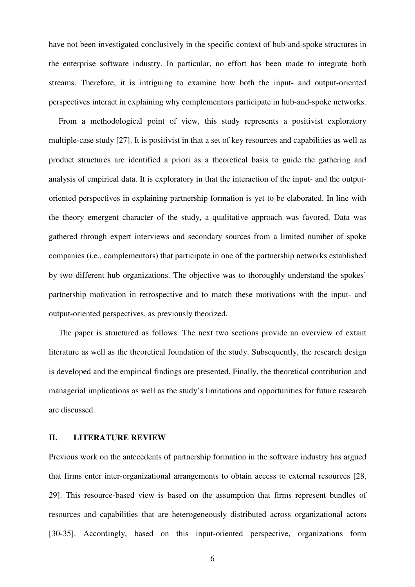have not been investigated conclusively in the specific context of hub-and-spoke structures in the enterprise software industry. In particular, no effort has been made to integrate both streams. Therefore, it is intriguing to examine how both the input- and output-oriented perspectives interact in explaining why complementors participate in hub-and-spoke networks.

From a methodological point of view, this study represents a positivist exploratory multiple-case study [27]. It is positivist in that a set of key resources and capabilities as well as product structures are identified a priori as a theoretical basis to guide the gathering and analysis of empirical data. It is exploratory in that the interaction of the input- and the outputoriented perspectives in explaining partnership formation is yet to be elaborated. In line with the theory emergent character of the study, a qualitative approach was favored. Data was gathered through expert interviews and secondary sources from a limited number of spoke companies (i.e., complementors) that participate in one of the partnership networks established by two different hub organizations. The objective was to thoroughly understand the spokes' partnership motivation in retrospective and to match these motivations with the input- and output-oriented perspectives, as previously theorized.

The paper is structured as follows. The next two sections provide an overview of extant literature as well as the theoretical foundation of the study. Subsequently, the research design is developed and the empirical findings are presented. Finally, the theoretical contribution and managerial implications as well as the study's limitations and opportunities for future research are discussed.

#### **II. LITERATURE REVIEW**

Previous work on the antecedents of partnership formation in the software industry has argued that firms enter inter-organizational arrangements to obtain access to external resources [28, 29]. This resource-based view is based on the assumption that firms represent bundles of resources and capabilities that are heterogeneously distributed across organizational actors [30-35]. Accordingly, based on this input-oriented perspective, organizations form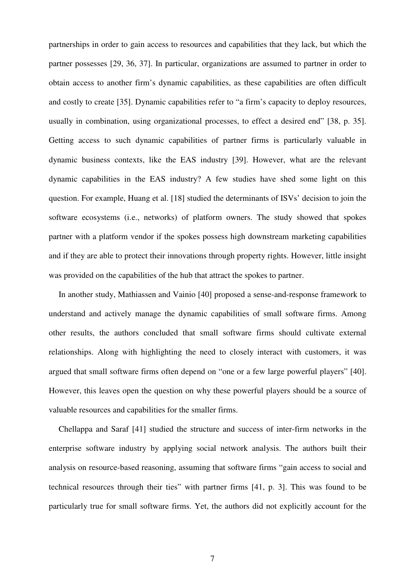partnerships in order to gain access to resources and capabilities that they lack, but which the partner possesses [29, 36, 37]. In particular, organizations are assumed to partner in order to obtain access to another firm's dynamic capabilities, as these capabilities are often difficult and costly to create [35]. Dynamic capabilities refer to "a firm's capacity to deploy resources, usually in combination, using organizational processes, to effect a desired end" [38, p. 35]. Getting access to such dynamic capabilities of partner firms is particularly valuable in dynamic business contexts, like the EAS industry [39]. However, what are the relevant dynamic capabilities in the EAS industry? A few studies have shed some light on this question. For example, Huang et al. [18] studied the determinants of ISVs' decision to join the software ecosystems (i.e., networks) of platform owners. The study showed that spokes partner with a platform vendor if the spokes possess high downstream marketing capabilities and if they are able to protect their innovations through property rights. However, little insight was provided on the capabilities of the hub that attract the spokes to partner.

In another study, Mathiassen and Vainio [40] proposed a sense-and-response framework to understand and actively manage the dynamic capabilities of small software firms. Among other results, the authors concluded that small software firms should cultivate external relationships. Along with highlighting the need to closely interact with customers, it was argued that small software firms often depend on "one or a few large powerful players" [40]. However, this leaves open the question on why these powerful players should be a source of valuable resources and capabilities for the smaller firms.

Chellappa and Saraf [41] studied the structure and success of inter-firm networks in the enterprise software industry by applying social network analysis. The authors built their analysis on resource-based reasoning, assuming that software firms "gain access to social and technical resources through their ties" with partner firms [41, p. 3]. This was found to be particularly true for small software firms. Yet, the authors did not explicitly account for the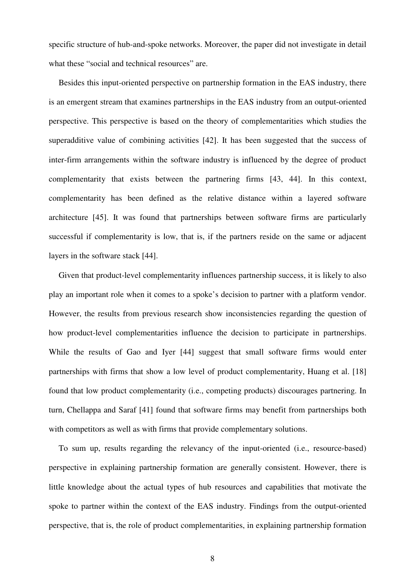specific structure of hub-and-spoke networks. Moreover, the paper did not investigate in detail what these "social and technical resources" are.

Besides this input-oriented perspective on partnership formation in the EAS industry, there is an emergent stream that examines partnerships in the EAS industry from an output-oriented perspective. This perspective is based on the theory of complementarities which studies the superadditive value of combining activities [42]. It has been suggested that the success of inter-firm arrangements within the software industry is influenced by the degree of product complementarity that exists between the partnering firms [43, 44]. In this context, complementarity has been defined as the relative distance within a layered software architecture [45]. It was found that partnerships between software firms are particularly successful if complementarity is low, that is, if the partners reside on the same or adjacent layers in the software stack [44].

Given that product-level complementarity influences partnership success, it is likely to also play an important role when it comes to a spoke's decision to partner with a platform vendor. However, the results from previous research show inconsistencies regarding the question of how product-level complementarities influence the decision to participate in partnerships. While the results of Gao and Iyer [44] suggest that small software firms would enter partnerships with firms that show a low level of product complementarity, Huang et al. [18] found that low product complementarity (i.e., competing products) discourages partnering. In turn, Chellappa and Saraf [41] found that software firms may benefit from partnerships both with competitors as well as with firms that provide complementary solutions.

To sum up, results regarding the relevancy of the input-oriented (i.e., resource-based) perspective in explaining partnership formation are generally consistent. However, there is little knowledge about the actual types of hub resources and capabilities that motivate the spoke to partner within the context of the EAS industry. Findings from the output-oriented perspective, that is, the role of product complementarities, in explaining partnership formation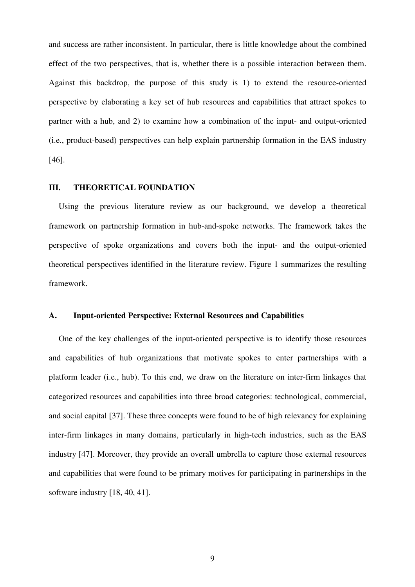and success are rather inconsistent. In particular, there is little knowledge about the combined effect of the two perspectives, that is, whether there is a possible interaction between them. Against this backdrop, the purpose of this study is 1) to extend the resource-oriented perspective by elaborating a key set of hub resources and capabilities that attract spokes to partner with a hub, and 2) to examine how a combination of the input- and output-oriented (i.e., product-based) perspectives can help explain partnership formation in the EAS industry [46].

## **III. THEORETICAL FOUNDATION**

Using the previous literature review as our background, we develop a theoretical framework on partnership formation in hub-and-spoke networks. The framework takes the perspective of spoke organizations and covers both the input- and the output-oriented theoretical perspectives identified in the literature review. Figure 1 summarizes the resulting framework.

#### **A. Input-oriented Perspective: External Resources and Capabilities**

One of the key challenges of the input-oriented perspective is to identify those resources and capabilities of hub organizations that motivate spokes to enter partnerships with a platform leader (i.e., hub). To this end, we draw on the literature on inter-firm linkages that categorized resources and capabilities into three broad categories: technological, commercial, and social capital [37]. These three concepts were found to be of high relevancy for explaining inter-firm linkages in many domains, particularly in high-tech industries, such as the EAS industry [47]. Moreover, they provide an overall umbrella to capture those external resources and capabilities that were found to be primary motives for participating in partnerships in the software industry [18, 40, 41].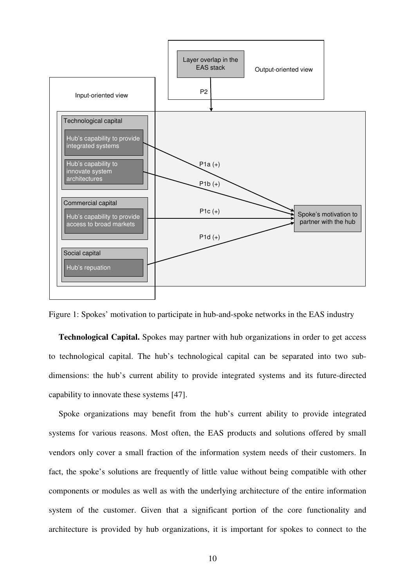

Figure 1: Spokes' motivation to participate in hub-and-spoke networks in the EAS industry

**Technological Capital.** Spokes may partner with hub organizations in order to get access to technological capital. The hub's technological capital can be separated into two subdimensions: the hub's current ability to provide integrated systems and its future-directed capability to innovate these systems [47].

Spoke organizations may benefit from the hub's current ability to provide integrated systems for various reasons. Most often, the EAS products and solutions offered by small vendors only cover a small fraction of the information system needs of their customers. In fact, the spoke's solutions are frequently of little value without being compatible with other components or modules as well as with the underlying architecture of the entire information system of the customer. Given that a significant portion of the core functionality and architecture is provided by hub organizations, it is important for spokes to connect to the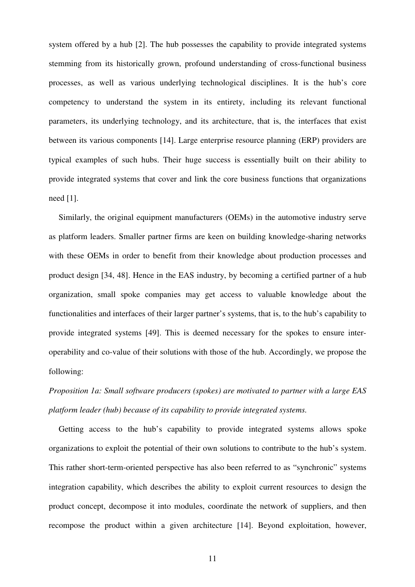system offered by a hub [2]. The hub possesses the capability to provide integrated systems stemming from its historically grown, profound understanding of cross-functional business processes, as well as various underlying technological disciplines. It is the hub's core competency to understand the system in its entirety, including its relevant functional parameters, its underlying technology, and its architecture, that is, the interfaces that exist between its various components [14]. Large enterprise resource planning (ERP) providers are typical examples of such hubs. Their huge success is essentially built on their ability to provide integrated systems that cover and link the core business functions that organizations need [1].

Similarly, the original equipment manufacturers (OEMs) in the automotive industry serve as platform leaders. Smaller partner firms are keen on building knowledge-sharing networks with these OEMs in order to benefit from their knowledge about production processes and product design [34, 48]. Hence in the EAS industry, by becoming a certified partner of a hub organization, small spoke companies may get access to valuable knowledge about the functionalities and interfaces of their larger partner's systems, that is, to the hub's capability to provide integrated systems [49]. This is deemed necessary for the spokes to ensure interoperability and co-value of their solutions with those of the hub. Accordingly, we propose the following:

*Proposition 1a: Small software producers (spokes) are motivated to partner with a large EAS platform leader (hub) because of its capability to provide integrated systems.*

Getting access to the hub's capability to provide integrated systems allows spoke organizations to exploit the potential of their own solutions to contribute to the hub's system. This rather short-term-oriented perspective has also been referred to as "synchronic" systems integration capability, which describes the ability to exploit current resources to design the product concept, decompose it into modules, coordinate the network of suppliers, and then recompose the product within a given architecture [14]. Beyond exploitation, however,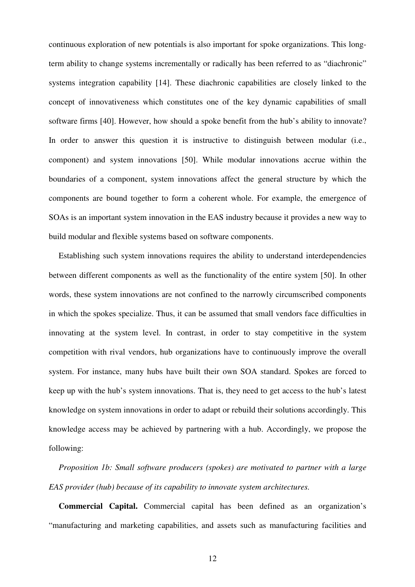continuous exploration of new potentials is also important for spoke organizations. This longterm ability to change systems incrementally or radically has been referred to as "diachronic" systems integration capability [14]. These diachronic capabilities are closely linked to the concept of innovativeness which constitutes one of the key dynamic capabilities of small software firms [40]. However, how should a spoke benefit from the hub's ability to innovate? In order to answer this question it is instructive to distinguish between modular (i.e., component) and system innovations [50]. While modular innovations accrue within the boundaries of a component, system innovations affect the general structure by which the components are bound together to form a coherent whole. For example, the emergence of SOAs is an important system innovation in the EAS industry because it provides a new way to build modular and flexible systems based on software components.

Establishing such system innovations requires the ability to understand interdependencies between different components as well as the functionality of the entire system [50]. In other words, these system innovations are not confined to the narrowly circumscribed components in which the spokes specialize. Thus, it can be assumed that small vendors face difficulties in innovating at the system level. In contrast, in order to stay competitive in the system competition with rival vendors, hub organizations have to continuously improve the overall system. For instance, many hubs have built their own SOA standard. Spokes are forced to keep up with the hub's system innovations. That is, they need to get access to the hub's latest knowledge on system innovations in order to adapt or rebuild their solutions accordingly. This knowledge access may be achieved by partnering with a hub. Accordingly, we propose the following:

*Proposition 1b: Small software producers (spokes) are motivated to partner with a large EAS provider (hub) because of its capability to innovate system architectures.*

**Commercial Capital.** Commercial capital has been defined as an organization's "manufacturing and marketing capabilities, and assets such as manufacturing facilities and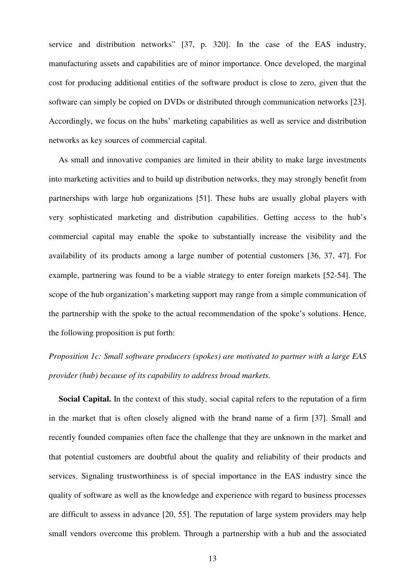service and distribution networks" [37, p. 320]. In the case of the EAS industry, manufacturing assets and capabilities are of minor importance. Once developed, the marginal cost for producing additional entities of the software product is close to zero, given that the software can simply be copied on DVDs or distributed through communication networks [23]. Accordingly, we focus on the hubs' marketing capabilities as well as service and distribution networks as key sources of commercial capital.

As small and innovative companies are limited in their ability to make large investments into marketing activities and to build up distribution networks, they may strongly benefit from partnerships with large hub organizations [51]. These hubs are usually global players with very sophisticated marketing and distribution capabilities. Getting access to the hub's commercial capital may enable the spoke to substantially increase the visibility and the availability of its products among a large number of potential customers [36, 37, 47]. For example, partnering was found to be a viable strategy to enter foreign markets [52-54]. The scope of the hub organization's marketing support may range from a simple communication of the partnership with the spoke to the actual recommendation of the spoke's solutions. Hence, the following proposition is put forth:

*Proposition 1c: Small software producers (spokes) are motivated to partner with a large EAS provider (hub) because of its capability to address broad markets.* 

**Social Capital.** In the context of this study, social capital refers to the reputation of a firm in the market that is often closely aligned with the brand name of a firm [37]. Small and recently founded companies often face the challenge that they are unknown in the market and that potential customers are doubtful about the quality and reliability of their products and services. Signaling trustworthiness is of special importance in the EAS industry since the quality of software as well as the knowledge and experience with regard to business processes are difficult to assess in advance [20, 55]. The reputation of large system providers may help small vendors overcome this problem. Through a partnership with a hub and the associated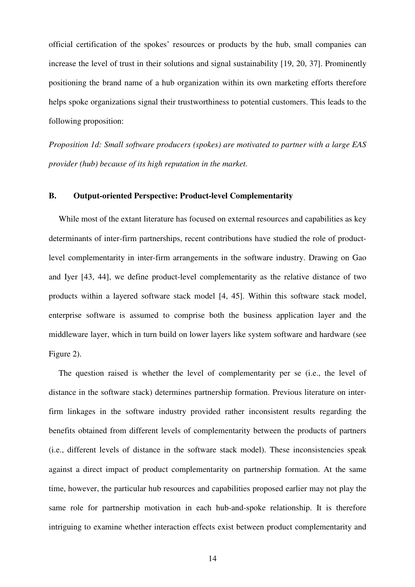official certification of the spokes' resources or products by the hub, small companies can increase the level of trust in their solutions and signal sustainability [19, 20, 37]. Prominently positioning the brand name of a hub organization within its own marketing efforts therefore helps spoke organizations signal their trustworthiness to potential customers. This leads to the following proposition:

*Proposition 1d: Small software producers (spokes) are motivated to partner with a large EAS provider (hub) because of its high reputation in the market.* 

## **B. Output-oriented Perspective: Product-level Complementarity**

While most of the extant literature has focused on external resources and capabilities as key determinants of inter-firm partnerships, recent contributions have studied the role of productlevel complementarity in inter-firm arrangements in the software industry. Drawing on Gao and Iyer [43, 44], we define product-level complementarity as the relative distance of two products within a layered software stack model [4, 45]. Within this software stack model, enterprise software is assumed to comprise both the business application layer and the middleware layer, which in turn build on lower layers like system software and hardware (see Figure 2).

The question raised is whether the level of complementarity per se (i.e., the level of distance in the software stack) determines partnership formation. Previous literature on interfirm linkages in the software industry provided rather inconsistent results regarding the benefits obtained from different levels of complementarity between the products of partners (i.e., different levels of distance in the software stack model). These inconsistencies speak against a direct impact of product complementarity on partnership formation. At the same time, however, the particular hub resources and capabilities proposed earlier may not play the same role for partnership motivation in each hub-and-spoke relationship. It is therefore intriguing to examine whether interaction effects exist between product complementarity and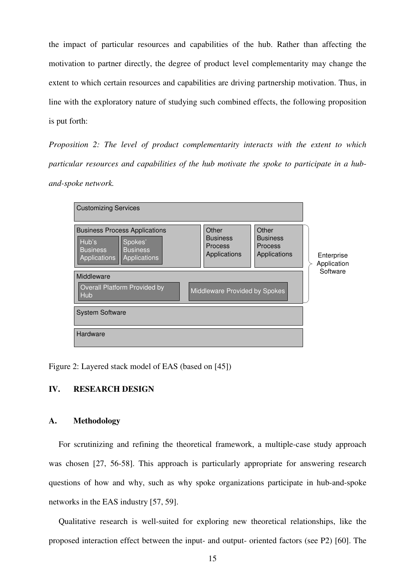the impact of particular resources and capabilities of the hub. Rather than affecting the motivation to partner directly, the degree of product level complementarity may change the extent to which certain resources and capabilities are driving partnership motivation. Thus, in line with the exploratory nature of studying such combined effects, the following proposition is put forth:

*Proposition 2: The level of product complementarity interacts with the extent to which particular resources and capabilities of the hub motivate the spoke to participate in a huband-spoke network.* 



Figure 2: Layered stack model of EAS (based on [45])

## **IV. RESEARCH DESIGN**

#### **A. Methodology**

For scrutinizing and refining the theoretical framework, a multiple-case study approach was chosen [27, 56-58]. This approach is particularly appropriate for answering research questions of how and why, such as why spoke organizations participate in hub-and-spoke networks in the EAS industry [57, 59].

Qualitative research is well-suited for exploring new theoretical relationships, like the proposed interaction effect between the input- and output- oriented factors (see P2) [60]. The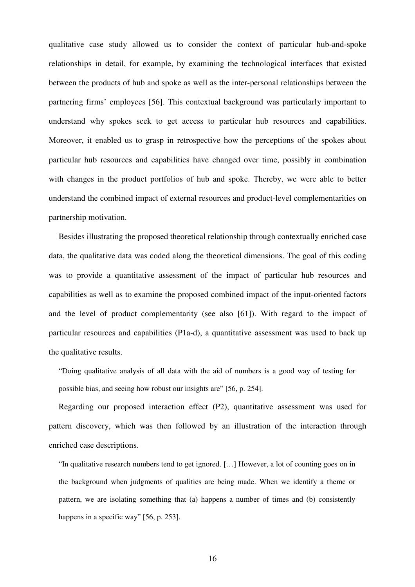qualitative case study allowed us to consider the context of particular hub-and-spoke relationships in detail, for example, by examining the technological interfaces that existed between the products of hub and spoke as well as the inter-personal relationships between the partnering firms' employees [56]. This contextual background was particularly important to understand why spokes seek to get access to particular hub resources and capabilities. Moreover, it enabled us to grasp in retrospective how the perceptions of the spokes about particular hub resources and capabilities have changed over time, possibly in combination with changes in the product portfolios of hub and spoke. Thereby, we were able to better understand the combined impact of external resources and product-level complementarities on partnership motivation.

Besides illustrating the proposed theoretical relationship through contextually enriched case data, the qualitative data was coded along the theoretical dimensions. The goal of this coding was to provide a quantitative assessment of the impact of particular hub resources and capabilities as well as to examine the proposed combined impact of the input-oriented factors and the level of product complementarity (see also [61]). With regard to the impact of particular resources and capabilities (P1a-d), a quantitative assessment was used to back up the qualitative results.

"Doing qualitative analysis of all data with the aid of numbers is a good way of testing for possible bias, and seeing how robust our insights are" [56, p. 254].

Regarding our proposed interaction effect (P2), quantitative assessment was used for pattern discovery, which was then followed by an illustration of the interaction through enriched case descriptions.

"In qualitative research numbers tend to get ignored. […] However, a lot of counting goes on in the background when judgments of qualities are being made. When we identify a theme or pattern, we are isolating something that (a) happens a number of times and (b) consistently happens in a specific way" [56, p. 253].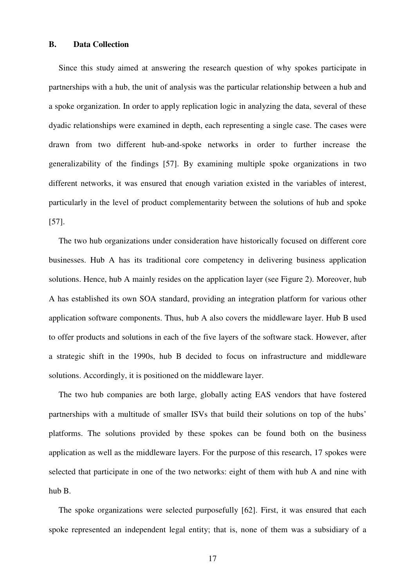## **B. Data Collection**

Since this study aimed at answering the research question of why spokes participate in partnerships with a hub, the unit of analysis was the particular relationship between a hub and a spoke organization. In order to apply replication logic in analyzing the data, several of these dyadic relationships were examined in depth, each representing a single case. The cases were drawn from two different hub-and-spoke networks in order to further increase the generalizability of the findings [57]. By examining multiple spoke organizations in two different networks, it was ensured that enough variation existed in the variables of interest, particularly in the level of product complementarity between the solutions of hub and spoke [57].

The two hub organizations under consideration have historically focused on different core businesses. Hub A has its traditional core competency in delivering business application solutions. Hence, hub A mainly resides on the application layer (see Figure 2). Moreover, hub A has established its own SOA standard, providing an integration platform for various other application software components. Thus, hub A also covers the middleware layer. Hub B used to offer products and solutions in each of the five layers of the software stack. However, after a strategic shift in the 1990s, hub B decided to focus on infrastructure and middleware solutions. Accordingly, it is positioned on the middleware layer.

The two hub companies are both large, globally acting EAS vendors that have fostered partnerships with a multitude of smaller ISVs that build their solutions on top of the hubs' platforms. The solutions provided by these spokes can be found both on the business application as well as the middleware layers. For the purpose of this research, 17 spokes were selected that participate in one of the two networks: eight of them with hub A and nine with hub B.

The spoke organizations were selected purposefully [62]. First, it was ensured that each spoke represented an independent legal entity; that is, none of them was a subsidiary of a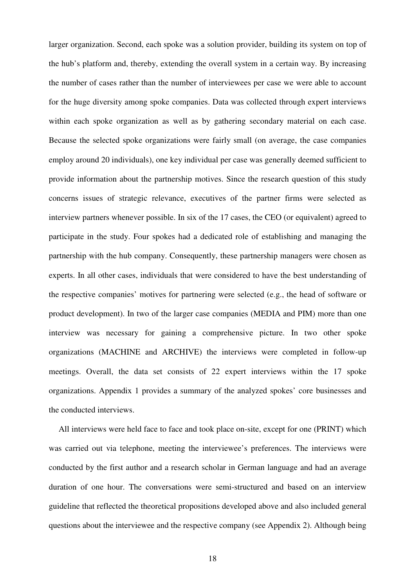larger organization. Second, each spoke was a solution provider, building its system on top of the hub's platform and, thereby, extending the overall system in a certain way. By increasing the number of cases rather than the number of interviewees per case we were able to account for the huge diversity among spoke companies. Data was collected through expert interviews within each spoke organization as well as by gathering secondary material on each case. Because the selected spoke organizations were fairly small (on average, the case companies employ around 20 individuals), one key individual per case was generally deemed sufficient to provide information about the partnership motives. Since the research question of this study concerns issues of strategic relevance, executives of the partner firms were selected as interview partners whenever possible. In six of the 17 cases, the CEO (or equivalent) agreed to participate in the study. Four spokes had a dedicated role of establishing and managing the partnership with the hub company. Consequently, these partnership managers were chosen as experts. In all other cases, individuals that were considered to have the best understanding of the respective companies' motives for partnering were selected (e.g., the head of software or product development). In two of the larger case companies (MEDIA and PIM) more than one interview was necessary for gaining a comprehensive picture. In two other spoke organizations (MACHINE and ARCHIVE) the interviews were completed in follow-up meetings. Overall, the data set consists of 22 expert interviews within the 17 spoke organizations. Appendix 1 provides a summary of the analyzed spokes' core businesses and the conducted interviews.

All interviews were held face to face and took place on-site, except for one (PRINT) which was carried out via telephone, meeting the interviewee's preferences. The interviews were conducted by the first author and a research scholar in German language and had an average duration of one hour. The conversations were semi-structured and based on an interview guideline that reflected the theoretical propositions developed above and also included general questions about the interviewee and the respective company (see Appendix 2). Although being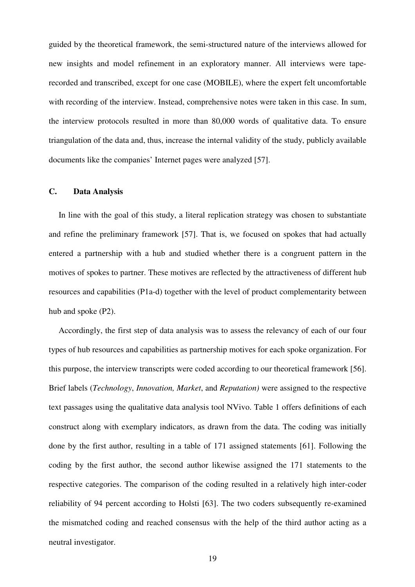guided by the theoretical framework, the semi-structured nature of the interviews allowed for new insights and model refinement in an exploratory manner. All interviews were taperecorded and transcribed, except for one case (MOBILE), where the expert felt uncomfortable with recording of the interview. Instead, comprehensive notes were taken in this case. In sum, the interview protocols resulted in more than 80,000 words of qualitative data. To ensure triangulation of the data and, thus, increase the internal validity of the study, publicly available documents like the companies' Internet pages were analyzed [57].

## **C. Data Analysis**

In line with the goal of this study, a literal replication strategy was chosen to substantiate and refine the preliminary framework [57]. That is, we focused on spokes that had actually entered a partnership with a hub and studied whether there is a congruent pattern in the motives of spokes to partner. These motives are reflected by the attractiveness of different hub resources and capabilities (P1a-d) together with the level of product complementarity between hub and spoke (P2).

Accordingly, the first step of data analysis was to assess the relevancy of each of our four types of hub resources and capabilities as partnership motives for each spoke organization. For this purpose, the interview transcripts were coded according to our theoretical framework [56]. Brief labels (*Technology*, *Innovation, Market*, and *Reputation)* were assigned to the respective text passages using the qualitative data analysis tool NVivo. Table 1 offers definitions of each construct along with exemplary indicators, as drawn from the data. The coding was initially done by the first author, resulting in a table of 171 assigned statements [61]. Following the coding by the first author, the second author likewise assigned the 171 statements to the respective categories. The comparison of the coding resulted in a relatively high inter-coder reliability of 94 percent according to Holsti [63]. The two coders subsequently re-examined the mismatched coding and reached consensus with the help of the third author acting as a neutral investigator.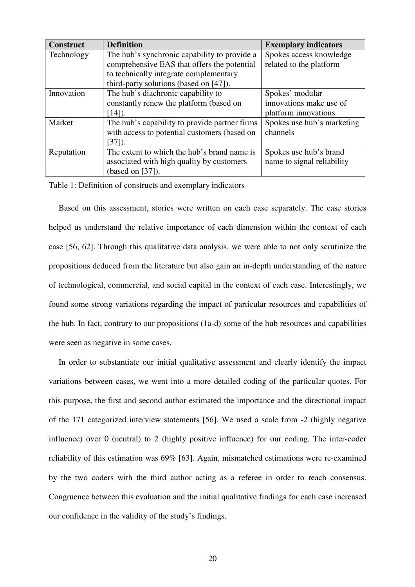| <b>Construct</b> | <b>Definition</b>                             | <b>Exemplary indicators</b> |
|------------------|-----------------------------------------------|-----------------------------|
| Technology       | The hub's synchronic capability to provide a  | Spokes access knowledge     |
|                  | comprehensive EAS that offers the potential   | related to the platform     |
|                  | to technically integrate complementary        |                             |
|                  | third-party solutions (based on [47]).        |                             |
| Innovation       | The hub's diachronic capability to            | Spokes' modular             |
|                  | constantly renew the platform (based on       | innovations make use of     |
|                  | $[14]$ ).                                     | platform innovations        |
| Market           | The hub's capability to provide partner firms | Spokes use hub's marketing  |
|                  | with access to potential customers (based on  | channels                    |
|                  | $[37]$ .                                      |                             |
| Reputation       | The extent to which the hub's brand name is   | Spokes use hub's brand      |
|                  | associated with high quality by customers     | name to signal reliability  |
|                  | (based on [37]).                              |                             |

| Table 1: Definition of constructs and exemplary indicators |  |
|------------------------------------------------------------|--|
|------------------------------------------------------------|--|

Based on this assessment, stories were written on each case separately. The case stories helped us understand the relative importance of each dimension within the context of each case [56, 62]. Through this qualitative data analysis, we were able to not only scrutinize the propositions deduced from the literature but also gain an in-depth understanding of the nature of technological, commercial, and social capital in the context of each case. Interestingly, we found some strong variations regarding the impact of particular resources and capabilities of the hub. In fact, contrary to our propositions (1a-d) some of the hub resources and capabilities were seen as negative in some cases.

In order to substantiate our initial qualitative assessment and clearly identify the impact variations between cases, we went into a more detailed coding of the particular quotes. For this purpose, the first and second author estimated the importance and the directional impact of the 171 categorized interview statements [56]. We used a scale from -2 (highly negative influence) over 0 (neutral) to 2 (highly positive influence) for our coding. The inter-coder reliability of this estimation was 69% [63]. Again, mismatched estimations were re-examined by the two coders with the third author acting as a referee in order to reach consensus. Congruence between this evaluation and the initial qualitative findings for each case increased our confidence in the validity of the study's findings.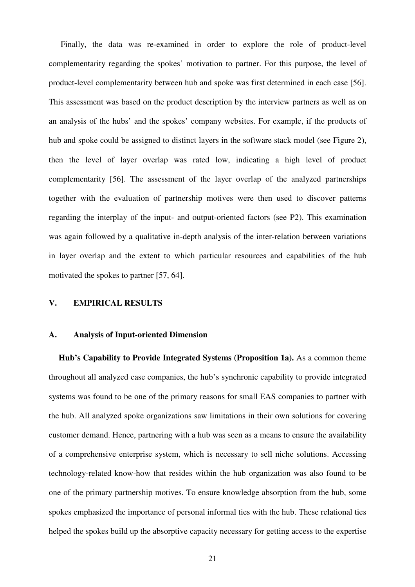Finally, the data was re-examined in order to explore the role of product-level complementarity regarding the spokes' motivation to partner. For this purpose, the level of product-level complementarity between hub and spoke was first determined in each case [56]. This assessment was based on the product description by the interview partners as well as on an analysis of the hubs' and the spokes' company websites. For example, if the products of hub and spoke could be assigned to distinct layers in the software stack model (see Figure 2), then the level of layer overlap was rated low, indicating a high level of product complementarity [56]. The assessment of the layer overlap of the analyzed partnerships together with the evaluation of partnership motives were then used to discover patterns regarding the interplay of the input- and output-oriented factors (see P2). This examination was again followed by a qualitative in-depth analysis of the inter-relation between variations in layer overlap and the extent to which particular resources and capabilities of the hub motivated the spokes to partner [57, 64].

## **V. EMPIRICAL RESULTS**

#### **A. Analysis of Input-oriented Dimension**

**Hub's Capability to Provide Integrated Systems (Proposition 1a).** As a common theme throughout all analyzed case companies, the hub's synchronic capability to provide integrated systems was found to be one of the primary reasons for small EAS companies to partner with the hub. All analyzed spoke organizations saw limitations in their own solutions for covering customer demand. Hence, partnering with a hub was seen as a means to ensure the availability of a comprehensive enterprise system, which is necessary to sell niche solutions. Accessing technology-related know-how that resides within the hub organization was also found to be one of the primary partnership motives. To ensure knowledge absorption from the hub, some spokes emphasized the importance of personal informal ties with the hub. These relational ties helped the spokes build up the absorptive capacity necessary for getting access to the expertise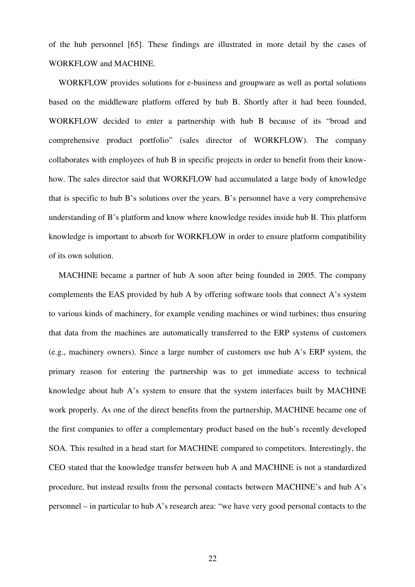of the hub personnel [65]. These findings are illustrated in more detail by the cases of WORKFLOW and MACHINE.

WORKFLOW provides solutions for e-business and groupware as well as portal solutions based on the middleware platform offered by hub B. Shortly after it had been founded, WORKFLOW decided to enter a partnership with hub B because of its "broad and comprehensive product portfolio" (sales director of WORKFLOW). The company collaborates with employees of hub B in specific projects in order to benefit from their knowhow. The sales director said that WORKFLOW had accumulated a large body of knowledge that is specific to hub B's solutions over the years. B's personnel have a very comprehensive understanding of B's platform and know where knowledge resides inside hub B. This platform knowledge is important to absorb for WORKFLOW in order to ensure platform compatibility of its own solution.

MACHINE became a partner of hub A soon after being founded in 2005. The company complements the EAS provided by hub A by offering software tools that connect A's system to various kinds of machinery, for example vending machines or wind turbines; thus ensuring that data from the machines are automatically transferred to the ERP systems of customers (e.g., machinery owners). Since a large number of customers use hub A's ERP system, the primary reason for entering the partnership was to get immediate access to technical knowledge about hub A's system to ensure that the system interfaces built by MACHINE work properly. As one of the direct benefits from the partnership, MACHINE became one of the first companies to offer a complementary product based on the hub's recently developed SOA. This resulted in a head start for MACHINE compared to competitors. Interestingly, the CEO stated that the knowledge transfer between hub A and MACHINE is not a standardized procedure, but instead results from the personal contacts between MACHINE's and hub A's personnel – in particular to hub A's research area: "we have very good personal contacts to the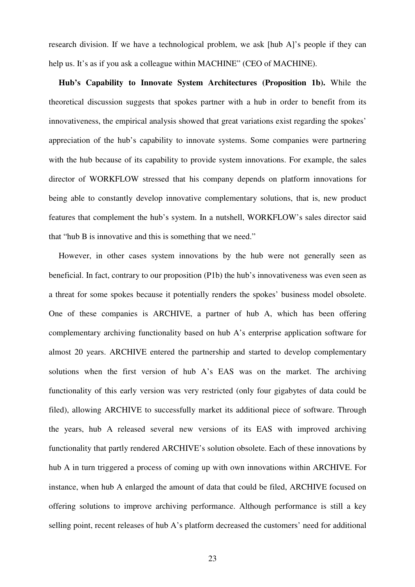research division. If we have a technological problem, we ask [hub A]'s people if they can help us. It's as if you ask a colleague within MACHINE" (CEO of MACHINE).

**Hub's Capability to Innovate System Architectures (Proposition 1b).** While the theoretical discussion suggests that spokes partner with a hub in order to benefit from its innovativeness, the empirical analysis showed that great variations exist regarding the spokes' appreciation of the hub's capability to innovate systems. Some companies were partnering with the hub because of its capability to provide system innovations. For example, the sales director of WORKFLOW stressed that his company depends on platform innovations for being able to constantly develop innovative complementary solutions, that is, new product features that complement the hub's system. In a nutshell, WORKFLOW's sales director said that "hub B is innovative and this is something that we need."

However, in other cases system innovations by the hub were not generally seen as beneficial. In fact, contrary to our proposition (P1b) the hub's innovativeness was even seen as a threat for some spokes because it potentially renders the spokes' business model obsolete. One of these companies is ARCHIVE, a partner of hub A, which has been offering complementary archiving functionality based on hub A's enterprise application software for almost 20 years. ARCHIVE entered the partnership and started to develop complementary solutions when the first version of hub A's EAS was on the market. The archiving functionality of this early version was very restricted (only four gigabytes of data could be filed), allowing ARCHIVE to successfully market its additional piece of software. Through the years, hub A released several new versions of its EAS with improved archiving functionality that partly rendered ARCHIVE's solution obsolete. Each of these innovations by hub A in turn triggered a process of coming up with own innovations within ARCHIVE. For instance, when hub A enlarged the amount of data that could be filed, ARCHIVE focused on offering solutions to improve archiving performance. Although performance is still a key selling point, recent releases of hub A's platform decreased the customers' need for additional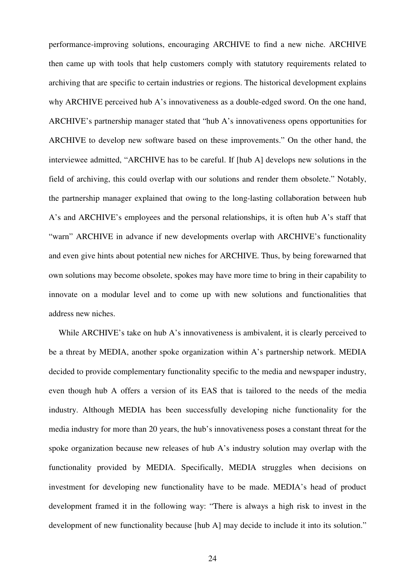performance-improving solutions, encouraging ARCHIVE to find a new niche. ARCHIVE then came up with tools that help customers comply with statutory requirements related to archiving that are specific to certain industries or regions. The historical development explains why ARCHIVE perceived hub A's innovativeness as a double-edged sword. On the one hand, ARCHIVE's partnership manager stated that "hub A's innovativeness opens opportunities for ARCHIVE to develop new software based on these improvements." On the other hand, the interviewee admitted, "ARCHIVE has to be careful. If [hub A] develops new solutions in the field of archiving, this could overlap with our solutions and render them obsolete." Notably, the partnership manager explained that owing to the long-lasting collaboration between hub A's and ARCHIVE's employees and the personal relationships, it is often hub A's staff that "warn" ARCHIVE in advance if new developments overlap with ARCHIVE's functionality and even give hints about potential new niches for ARCHIVE. Thus, by being forewarned that own solutions may become obsolete, spokes may have more time to bring in their capability to innovate on a modular level and to come up with new solutions and functionalities that address new niches.

While ARCHIVE's take on hub A's innovativeness is ambivalent, it is clearly perceived to be a threat by MEDIA, another spoke organization within A's partnership network. MEDIA decided to provide complementary functionality specific to the media and newspaper industry, even though hub A offers a version of its EAS that is tailored to the needs of the media industry. Although MEDIA has been successfully developing niche functionality for the media industry for more than 20 years, the hub's innovativeness poses a constant threat for the spoke organization because new releases of hub A's industry solution may overlap with the functionality provided by MEDIA. Specifically, MEDIA struggles when decisions on investment for developing new functionality have to be made. MEDIA's head of product development framed it in the following way: "There is always a high risk to invest in the development of new functionality because [hub A] may decide to include it into its solution."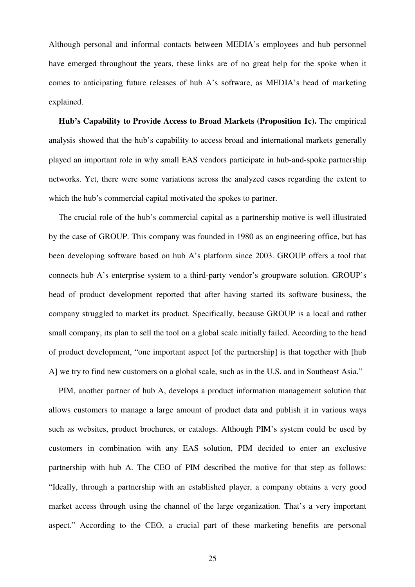Although personal and informal contacts between MEDIA's employees and hub personnel have emerged throughout the years, these links are of no great help for the spoke when it comes to anticipating future releases of hub A's software, as MEDIA's head of marketing explained.

**Hub's Capability to Provide Access to Broad Markets (Proposition 1c).** The empirical analysis showed that the hub's capability to access broad and international markets generally played an important role in why small EAS vendors participate in hub-and-spoke partnership networks. Yet, there were some variations across the analyzed cases regarding the extent to which the hub's commercial capital motivated the spokes to partner.

The crucial role of the hub's commercial capital as a partnership motive is well illustrated by the case of GROUP. This company was founded in 1980 as an engineering office, but has been developing software based on hub A's platform since 2003. GROUP offers a tool that connects hub A's enterprise system to a third-party vendor's groupware solution. GROUP's head of product development reported that after having started its software business, the company struggled to market its product. Specifically, because GROUP is a local and rather small company, its plan to sell the tool on a global scale initially failed. According to the head of product development, "one important aspect [of the partnership] is that together with [hub A] we try to find new customers on a global scale, such as in the U.S. and in Southeast Asia."

PIM, another partner of hub A, develops a product information management solution that allows customers to manage a large amount of product data and publish it in various ways such as websites, product brochures, or catalogs. Although PIM's system could be used by customers in combination with any EAS solution, PIM decided to enter an exclusive partnership with hub A. The CEO of PIM described the motive for that step as follows: "Ideally, through a partnership with an established player, a company obtains a very good market access through using the channel of the large organization. That's a very important aspect." According to the CEO, a crucial part of these marketing benefits are personal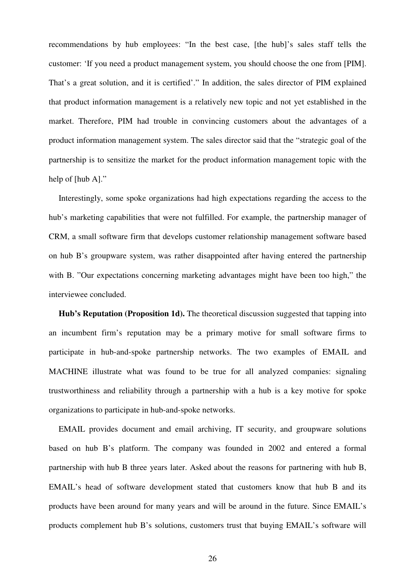recommendations by hub employees: "In the best case, [the hub]'s sales staff tells the customer: 'If you need a product management system, you should choose the one from [PIM]. That's a great solution, and it is certified'." In addition, the sales director of PIM explained that product information management is a relatively new topic and not yet established in the market. Therefore, PIM had trouble in convincing customers about the advantages of a product information management system. The sales director said that the "strategic goal of the partnership is to sensitize the market for the product information management topic with the help of [hub A]."

Interestingly, some spoke organizations had high expectations regarding the access to the hub's marketing capabilities that were not fulfilled. For example, the partnership manager of CRM, a small software firm that develops customer relationship management software based on hub B's groupware system, was rather disappointed after having entered the partnership with B. "Our expectations concerning marketing advantages might have been too high," the interviewee concluded.

**Hub's Reputation (Proposition 1d).** The theoretical discussion suggested that tapping into an incumbent firm's reputation may be a primary motive for small software firms to participate in hub-and-spoke partnership networks. The two examples of EMAIL and MACHINE illustrate what was found to be true for all analyzed companies: signaling trustworthiness and reliability through a partnership with a hub is a key motive for spoke organizations to participate in hub-and-spoke networks.

EMAIL provides document and email archiving, IT security, and groupware solutions based on hub B's platform. The company was founded in 2002 and entered a formal partnership with hub B three years later. Asked about the reasons for partnering with hub B, EMAIL's head of software development stated that customers know that hub B and its products have been around for many years and will be around in the future. Since EMAIL's products complement hub B's solutions, customers trust that buying EMAIL's software will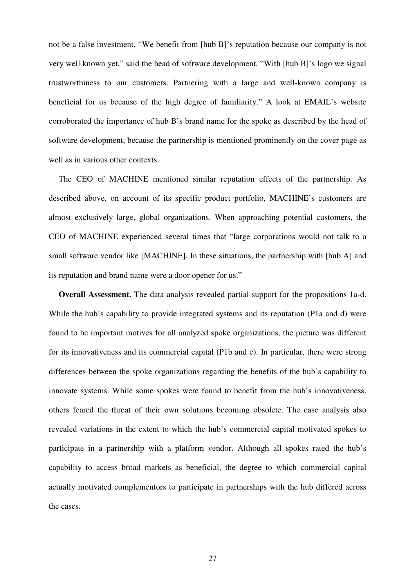not be a false investment. "We benefit from [hub B]'s reputation because our company is not very well known yet," said the head of software development. "With [hub B]'s logo we signal trustworthiness to our customers. Partnering with a large and well-known company is beneficial for us because of the high degree of familiarity." A look at EMAIL's website corroborated the importance of hub B's brand name for the spoke as described by the head of software development, because the partnership is mentioned prominently on the cover page as well as in various other contexts.

The CEO of MACHINE mentioned similar reputation effects of the partnership. As described above, on account of its specific product portfolio, MACHINE's customers are almost exclusively large, global organizations. When approaching potential customers, the CEO of MACHINE experienced several times that "large corporations would not talk to a small software vendor like [MACHINE]. In these situations, the partnership with [hub A] and its reputation and brand name were a door opener for us."

**Overall Assessment.** The data analysis revealed partial support for the propositions 1a-d. While the hub's capability to provide integrated systems and its reputation (P1a and d) were found to be important motives for all analyzed spoke organizations, the picture was different for its innovativeness and its commercial capital (P1b and c). In particular, there were strong differences between the spoke organizations regarding the benefits of the hub's capability to innovate systems. While some spokes were found to benefit from the hub's innovativeness, others feared the threat of their own solutions becoming obsolete. The case analysis also revealed variations in the extent to which the hub's commercial capital motivated spokes to participate in a partnership with a platform vendor. Although all spokes rated the hub's capability to access broad markets as beneficial, the degree to which commercial capital actually motivated complementors to participate in partnerships with the hub differed across the cases.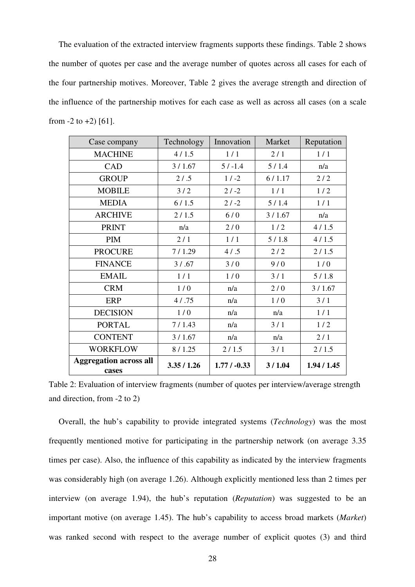The evaluation of the extracted interview fragments supports these findings. Table 2 shows the number of quotes per case and the average number of quotes across all cases for each of the four partnership motives. Moreover, Table 2 gives the average strength and direction of the influence of the partnership motives for each case as well as across all cases (on a scale from  $-2$  to  $+2$ ) [61].

| Case company                           | Technology  | Innovation    | Market | Reputation  |
|----------------------------------------|-------------|---------------|--------|-------------|
| <b>MACHINE</b>                         | 4/1.5       | 1/1           | 2/1    | 1/1         |
| CAD                                    | 3/1.67      | $5/ -1.4$     | 5/1.4  | n/a         |
| <b>GROUP</b>                           | 2/5         | $1 / -2$      | 6/1.17 | 2/2         |
| <b>MOBILE</b>                          | 3/2         | $2/ -2$       | 1/1    | 1/2         |
| <b>MEDIA</b>                           | 6/1.5       | $2/ -2$       | 5/1.4  | 1/1         |
| <b>ARCHIVE</b>                         | 2/1.5       | 6/0           | 3/1.67 | n/a         |
| <b>PRINT</b>                           | n/a         | 2/0           | 1/2    | 4/1.5       |
| <b>PIM</b>                             | 2/1         | 1/1           | 5/1.8  | 4/1.5       |
| <b>PROCURE</b>                         | 7/1.29      | 4/5           | 2/2    | 2/1.5       |
| <b>FINANCE</b>                         | 3 / .67     | 3/0           | 9/0    | 1/0         |
| <b>EMAIL</b>                           | 1/1         | 1/0           | 3/1    | 5/1.8       |
| <b>CRM</b>                             | 1/0         | n/a           | 2/0    | 3/1.67      |
| <b>ERP</b>                             | 41.75       | n/a           | 1/0    | 3/1         |
| <b>DECISION</b>                        | 1/0         | n/a           | n/a    | 1/1         |
| <b>PORTAL</b>                          | 7/1.43      | n/a           | 3/1    | 1/2         |
| <b>CONTENT</b>                         | 3/1.67      | n/a           | n/a    | 2/1         |
| <b>WORKFLOW</b>                        | 8/1.25      | 2/1.5         | 3/1    | 2/1.5       |
| <b>Aggregation across all</b><br>cases | 3.35 / 1.26 | $1.77/ -0.33$ | 3/1.04 | 1.94 / 1.45 |

Table 2: Evaluation of interview fragments (number of quotes per interview/average strength and direction, from -2 to 2)

Overall, the hub's capability to provide integrated systems (*Technology*) was the most frequently mentioned motive for participating in the partnership network (on average 3.35 times per case). Also, the influence of this capability as indicated by the interview fragments was considerably high (on average 1.26). Although explicitly mentioned less than 2 times per interview (on average 1.94), the hub's reputation (*Reputation*) was suggested to be an important motive (on average 1.45). The hub's capability to access broad markets (*Market*) was ranked second with respect to the average number of explicit quotes (3) and third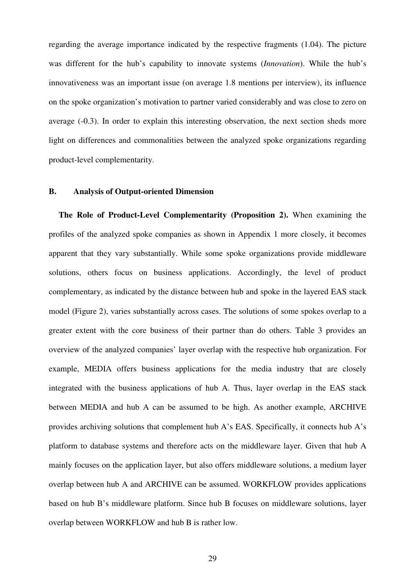regarding the average importance indicated by the respective fragments (1.04). The picture was different for the hub's capability to innovate systems (*Innovation*). While the hub's innovativeness was an important issue (on average 1.8 mentions per interview), its influence on the spoke organization's motivation to partner varied considerably and was close to zero on average (-0.3). In order to explain this interesting observation, the next section sheds more light on differences and commonalities between the analyzed spoke organizations regarding product-level complementarity.

#### **B. Analysis of Output-oriented Dimension**

**The Role of Product-Level Complementarity (Proposition 2).** When examining the profiles of the analyzed spoke companies as shown in Appendix 1 more closely, it becomes apparent that they vary substantially. While some spoke organizations provide middleware solutions, others focus on business applications. Accordingly, the level of product complementary, as indicated by the distance between hub and spoke in the layered EAS stack model (Figure 2), varies substantially across cases. The solutions of some spokes overlap to a greater extent with the core business of their partner than do others. Table 3 provides an overview of the analyzed companies' layer overlap with the respective hub organization. For example, MEDIA offers business applications for the media industry that are closely integrated with the business applications of hub A. Thus, layer overlap in the EAS stack between MEDIA and hub A can be assumed to be high. As another example, ARCHIVE provides archiving solutions that complement hub A's EAS. Specifically, it connects hub A's platform to database systems and therefore acts on the middleware layer. Given that hub A mainly focuses on the application layer, but also offers middleware solutions, a medium layer overlap between hub A and ARCHIVE can be assumed. WORKFLOW provides applications based on hub B's middleware platform. Since hub B focuses on middleware solutions, layer overlap between WORKFLOW and hub B is rather low.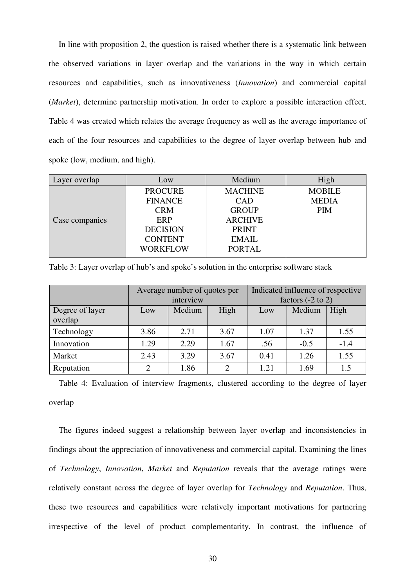In line with proposition 2, the question is raised whether there is a systematic link between the observed variations in layer overlap and the variations in the way in which certain resources and capabilities, such as innovativeness (*Innovation*) and commercial capital (*Market*), determine partnership motivation. In order to explore a possible interaction effect, Table 4 was created which relates the average frequency as well as the average importance of each of the four resources and capabilities to the degree of layer overlap between hub and spoke (low, medium, and high).

| Layer overlap  | Low             | Medium         | High          |
|----------------|-----------------|----------------|---------------|
|                | <b>PROCURE</b>  | <b>MACHINE</b> | <b>MOBILE</b> |
|                | <b>FINANCE</b>  | <b>CAD</b>     | <b>MEDIA</b>  |
|                | <b>CRM</b>      | <b>GROUP</b>   | <b>PIM</b>    |
| Case companies | ERP             | <b>ARCHIVE</b> |               |
|                | <b>DECISION</b> | <b>PRINT</b>   |               |
|                | <b>CONTENT</b>  | <b>EMAIL</b>   |               |
|                | <b>WORKFLOW</b> | <b>PORTAL</b>  |               |
|                |                 |                |               |

Table 3: Layer overlap of hub's and spoke's solution in the enterprise software stack

|                            | Average number of quotes per<br>interview |        |                | Indicated influence of respective<br>factors $(-2 \text{ to } 2)$ |        |        |  |
|----------------------------|-------------------------------------------|--------|----------------|-------------------------------------------------------------------|--------|--------|--|
| Degree of layer<br>overlap | Low                                       | Medium | High           | Low                                                               | Medium | High   |  |
| Technology                 | 3.86                                      | 2.71   | 3.67           | 1.07                                                              | 1.37   | 1.55   |  |
| Innovation                 | 1.29                                      | 2.29   | 1.67           | .56                                                               | $-0.5$ | $-1.4$ |  |
| Market                     | 2.43                                      | 3.29   | 3.67           | 0.41                                                              | 1.26   | 1.55   |  |
| Reputation                 |                                           | 1.86   | $\overline{2}$ | 1.21                                                              | 1.69   | 1.5    |  |

Table 4: Evaluation of interview fragments, clustered according to the degree of layer overlap

The figures indeed suggest a relationship between layer overlap and inconsistencies in findings about the appreciation of innovativeness and commercial capital. Examining the lines of *Technology*, *Innovation*, *Market* and *Reputation* reveals that the average ratings were relatively constant across the degree of layer overlap for *Technology* and *Reputation*. Thus, these two resources and capabilities were relatively important motivations for partnering irrespective of the level of product complementarity. In contrast, the influence of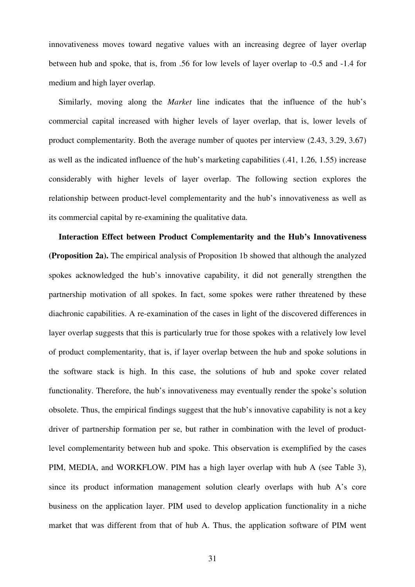innovativeness moves toward negative values with an increasing degree of layer overlap between hub and spoke, that is, from .56 for low levels of layer overlap to -0.5 and -1.4 for medium and high layer overlap.

Similarly, moving along the *Market* line indicates that the influence of the hub's commercial capital increased with higher levels of layer overlap, that is, lower levels of product complementarity. Both the average number of quotes per interview (2.43, 3.29, 3.67) as well as the indicated influence of the hub's marketing capabilities (.41, 1.26, 1.55) increase considerably with higher levels of layer overlap. The following section explores the relationship between product-level complementarity and the hub's innovativeness as well as its commercial capital by re-examining the qualitative data.

**Interaction Effect between Product Complementarity and the Hub's Innovativeness (Proposition 2a).** The empirical analysis of Proposition 1b showed that although the analyzed spokes acknowledged the hub's innovative capability, it did not generally strengthen the partnership motivation of all spokes. In fact, some spokes were rather threatened by these diachronic capabilities. A re-examination of the cases in light of the discovered differences in layer overlap suggests that this is particularly true for those spokes with a relatively low level of product complementarity, that is, if layer overlap between the hub and spoke solutions in the software stack is high. In this case, the solutions of hub and spoke cover related functionality. Therefore, the hub's innovativeness may eventually render the spoke's solution obsolete. Thus, the empirical findings suggest that the hub's innovative capability is not a key driver of partnership formation per se, but rather in combination with the level of productlevel complementarity between hub and spoke. This observation is exemplified by the cases PIM, MEDIA, and WORKFLOW. PIM has a high layer overlap with hub A (see Table 3), since its product information management solution clearly overlaps with hub A's core business on the application layer. PIM used to develop application functionality in a niche market that was different from that of hub A. Thus, the application software of PIM went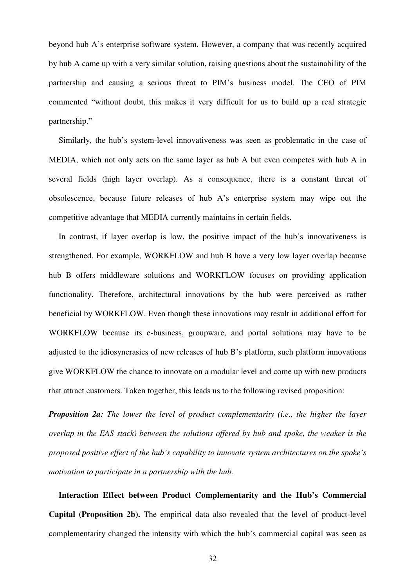beyond hub A's enterprise software system. However, a company that was recently acquired by hub A came up with a very similar solution, raising questions about the sustainability of the partnership and causing a serious threat to PIM's business model. The CEO of PIM commented "without doubt, this makes it very difficult for us to build up a real strategic partnership."

Similarly, the hub's system-level innovativeness was seen as problematic in the case of MEDIA, which not only acts on the same layer as hub A but even competes with hub A in several fields (high layer overlap). As a consequence, there is a constant threat of obsolescence, because future releases of hub A's enterprise system may wipe out the competitive advantage that MEDIA currently maintains in certain fields.

In contrast, if layer overlap is low, the positive impact of the hub's innovativeness is strengthened. For example, WORKFLOW and hub B have a very low layer overlap because hub B offers middleware solutions and WORKFLOW focuses on providing application functionality. Therefore, architectural innovations by the hub were perceived as rather beneficial by WORKFLOW. Even though these innovations may result in additional effort for WORKFLOW because its e-business, groupware, and portal solutions may have to be adjusted to the idiosyncrasies of new releases of hub B's platform, such platform innovations give WORKFLOW the chance to innovate on a modular level and come up with new products that attract customers. Taken together, this leads us to the following revised proposition:

*Proposition 2a: The lower the level of product complementarity (i.e., the higher the layer overlap in the EAS stack) between the solutions offered by hub and spoke, the weaker is the proposed positive effect of the hub's capability to innovate system architectures on the spoke's motivation to participate in a partnership with the hub.* 

**Interaction Effect between Product Complementarity and the Hub's Commercial Capital (Proposition 2b).** The empirical data also revealed that the level of product-level complementarity changed the intensity with which the hub's commercial capital was seen as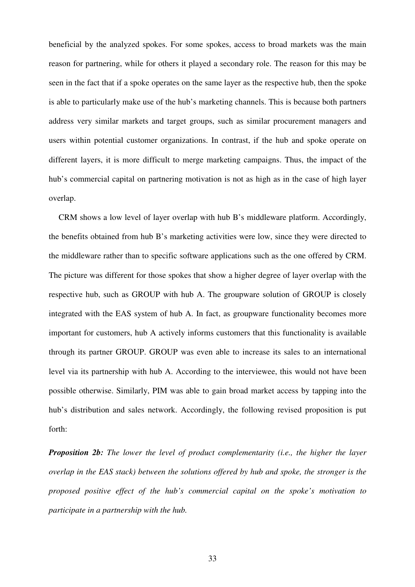beneficial by the analyzed spokes. For some spokes, access to broad markets was the main reason for partnering, while for others it played a secondary role. The reason for this may be seen in the fact that if a spoke operates on the same layer as the respective hub, then the spoke is able to particularly make use of the hub's marketing channels. This is because both partners address very similar markets and target groups, such as similar procurement managers and users within potential customer organizations. In contrast, if the hub and spoke operate on different layers, it is more difficult to merge marketing campaigns. Thus, the impact of the hub's commercial capital on partnering motivation is not as high as in the case of high layer overlap.

CRM shows a low level of layer overlap with hub B's middleware platform. Accordingly, the benefits obtained from hub B's marketing activities were low, since they were directed to the middleware rather than to specific software applications such as the one offered by CRM. The picture was different for those spokes that show a higher degree of layer overlap with the respective hub, such as GROUP with hub A. The groupware solution of GROUP is closely integrated with the EAS system of hub A. In fact, as groupware functionality becomes more important for customers, hub A actively informs customers that this functionality is available through its partner GROUP. GROUP was even able to increase its sales to an international level via its partnership with hub A. According to the interviewee, this would not have been possible otherwise. Similarly, PIM was able to gain broad market access by tapping into the hub's distribution and sales network. Accordingly, the following revised proposition is put forth:

*Proposition 2b: The lower the level of product complementarity (i.e., the higher the layer overlap in the EAS stack) between the solutions offered by hub and spoke, the stronger is the proposed positive effect of the hub's commercial capital on the spoke's motivation to participate in a partnership with the hub.*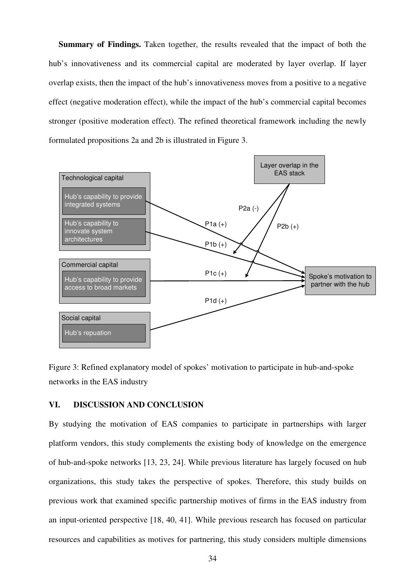**Summary of Findings.** Taken together, the results revealed that the impact of both the hub's innovativeness and its commercial capital are moderated by layer overlap. If layer overlap exists, then the impact of the hub's innovativeness moves from a positive to a negative effect (negative moderation effect), while the impact of the hub's commercial capital becomes stronger (positive moderation effect). The refined theoretical framework including the newly formulated propositions 2a and 2b is illustrated in Figure 3.



Figure 3: Refined explanatory model of spokes' motivation to participate in hub-and-spoke networks in the EAS industry

## **VI. DISCUSSION AND CONCLUSION**

By studying the motivation of EAS companies to participate in partnerships with larger platform vendors, this study complements the existing body of knowledge on the emergence of hub-and-spoke networks [13, 23, 24]. While previous literature has largely focused on hub organizations, this study takes the perspective of spokes. Therefore, this study builds on previous work that examined specific partnership motives of firms in the EAS industry from an input-oriented perspective [18, 40, 41]. While previous research has focused on particular resources and capabilities as motives for partnering, this study considers multiple dimensions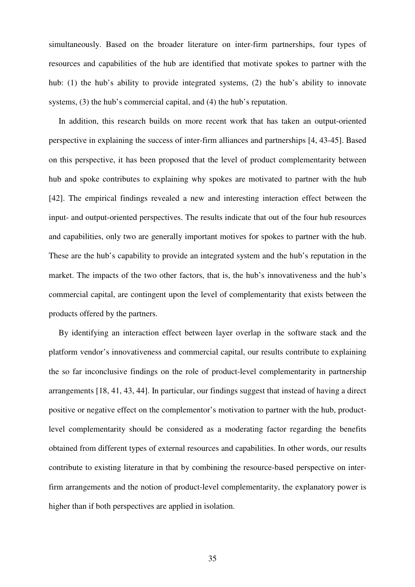simultaneously. Based on the broader literature on inter-firm partnerships, four types of resources and capabilities of the hub are identified that motivate spokes to partner with the hub: (1) the hub's ability to provide integrated systems, (2) the hub's ability to innovate systems, (3) the hub's commercial capital, and (4) the hub's reputation.

In addition, this research builds on more recent work that has taken an output-oriented perspective in explaining the success of inter-firm alliances and partnerships [4, 43-45]. Based on this perspective, it has been proposed that the level of product complementarity between hub and spoke contributes to explaining why spokes are motivated to partner with the hub [42]. The empirical findings revealed a new and interesting interaction effect between the input- and output-oriented perspectives. The results indicate that out of the four hub resources and capabilities, only two are generally important motives for spokes to partner with the hub. These are the hub's capability to provide an integrated system and the hub's reputation in the market. The impacts of the two other factors, that is, the hub's innovativeness and the hub's commercial capital, are contingent upon the level of complementarity that exists between the products offered by the partners.

By identifying an interaction effect between layer overlap in the software stack and the platform vendor's innovativeness and commercial capital, our results contribute to explaining the so far inconclusive findings on the role of product-level complementarity in partnership arrangements [18, 41, 43, 44]. In particular, our findings suggest that instead of having a direct positive or negative effect on the complementor's motivation to partner with the hub, productlevel complementarity should be considered as a moderating factor regarding the benefits obtained from different types of external resources and capabilities. In other words, our results contribute to existing literature in that by combining the resource-based perspective on interfirm arrangements and the notion of product-level complementarity, the explanatory power is higher than if both perspectives are applied in isolation.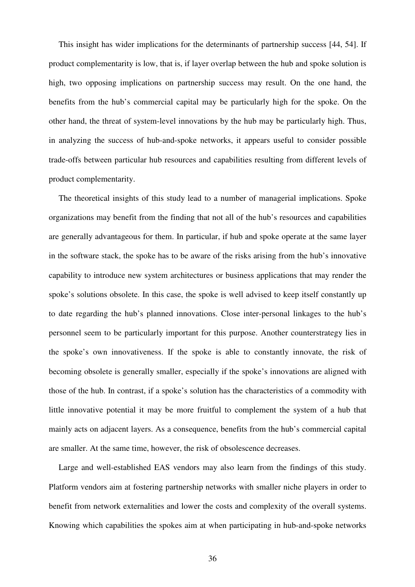This insight has wider implications for the determinants of partnership success [44, 54]. If product complementarity is low, that is, if layer overlap between the hub and spoke solution is high, two opposing implications on partnership success may result. On the one hand, the benefits from the hub's commercial capital may be particularly high for the spoke. On the other hand, the threat of system-level innovations by the hub may be particularly high. Thus, in analyzing the success of hub-and-spoke networks, it appears useful to consider possible trade-offs between particular hub resources and capabilities resulting from different levels of product complementarity.

The theoretical insights of this study lead to a number of managerial implications. Spoke organizations may benefit from the finding that not all of the hub's resources and capabilities are generally advantageous for them. In particular, if hub and spoke operate at the same layer in the software stack, the spoke has to be aware of the risks arising from the hub's innovative capability to introduce new system architectures or business applications that may render the spoke's solutions obsolete. In this case, the spoke is well advised to keep itself constantly up to date regarding the hub's planned innovations. Close inter-personal linkages to the hub's personnel seem to be particularly important for this purpose. Another counterstrategy lies in the spoke's own innovativeness. If the spoke is able to constantly innovate, the risk of becoming obsolete is generally smaller, especially if the spoke's innovations are aligned with those of the hub. In contrast, if a spoke's solution has the characteristics of a commodity with little innovative potential it may be more fruitful to complement the system of a hub that mainly acts on adjacent layers. As a consequence, benefits from the hub's commercial capital are smaller. At the same time, however, the risk of obsolescence decreases.

Large and well-established EAS vendors may also learn from the findings of this study. Platform vendors aim at fostering partnership networks with smaller niche players in order to benefit from network externalities and lower the costs and complexity of the overall systems. Knowing which capabilities the spokes aim at when participating in hub-and-spoke networks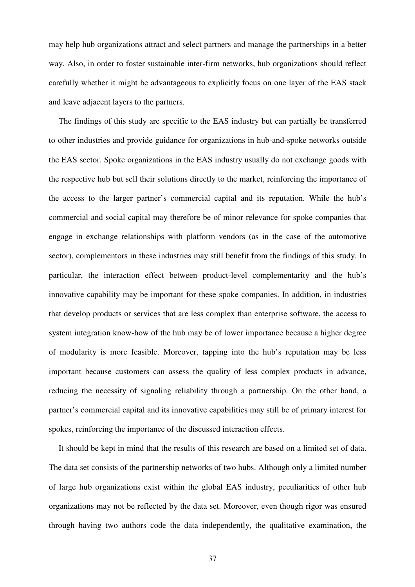may help hub organizations attract and select partners and manage the partnerships in a better way. Also, in order to foster sustainable inter-firm networks, hub organizations should reflect carefully whether it might be advantageous to explicitly focus on one layer of the EAS stack and leave adjacent layers to the partners.

The findings of this study are specific to the EAS industry but can partially be transferred to other industries and provide guidance for organizations in hub-and-spoke networks outside the EAS sector. Spoke organizations in the EAS industry usually do not exchange goods with the respective hub but sell their solutions directly to the market, reinforcing the importance of the access to the larger partner's commercial capital and its reputation. While the hub's commercial and social capital may therefore be of minor relevance for spoke companies that engage in exchange relationships with platform vendors (as in the case of the automotive sector), complementors in these industries may still benefit from the findings of this study. In particular, the interaction effect between product-level complementarity and the hub's innovative capability may be important for these spoke companies. In addition, in industries that develop products or services that are less complex than enterprise software, the access to system integration know-how of the hub may be of lower importance because a higher degree of modularity is more feasible. Moreover, tapping into the hub's reputation may be less important because customers can assess the quality of less complex products in advance, reducing the necessity of signaling reliability through a partnership. On the other hand, a partner's commercial capital and its innovative capabilities may still be of primary interest for spokes, reinforcing the importance of the discussed interaction effects.

It should be kept in mind that the results of this research are based on a limited set of data. The data set consists of the partnership networks of two hubs. Although only a limited number of large hub organizations exist within the global EAS industry, peculiarities of other hub organizations may not be reflected by the data set. Moreover, even though rigor was ensured through having two authors code the data independently, the qualitative examination, the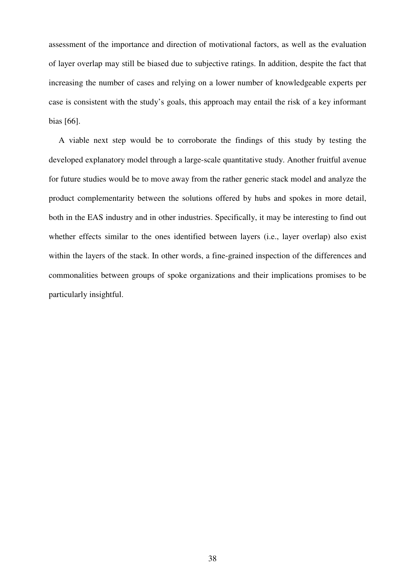assessment of the importance and direction of motivational factors, as well as the evaluation of layer overlap may still be biased due to subjective ratings. In addition, despite the fact that increasing the number of cases and relying on a lower number of knowledgeable experts per case is consistent with the study's goals, this approach may entail the risk of a key informant bias [66].

A viable next step would be to corroborate the findings of this study by testing the developed explanatory model through a large-scale quantitative study. Another fruitful avenue for future studies would be to move away from the rather generic stack model and analyze the product complementarity between the solutions offered by hubs and spokes in more detail, both in the EAS industry and in other industries. Specifically, it may be interesting to find out whether effects similar to the ones identified between layers (i.e., layer overlap) also exist within the layers of the stack. In other words, a fine-grained inspection of the differences and commonalities between groups of spoke organizations and their implications promises to be particularly insightful.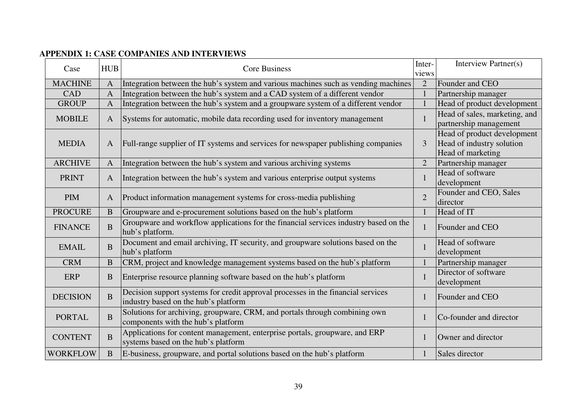## **APPENDIX 1: CASE COMPANIES AND INTERVIEWS**

| Case                            | <b>HUB</b>     | Inter-<br><b>Core Business</b>                                                                                     |                | Interview Partner(s)          |
|---------------------------------|----------------|--------------------------------------------------------------------------------------------------------------------|----------------|-------------------------------|
|                                 |                | views                                                                                                              |                |                               |
| <b>MACHINE</b>                  | $\mathbf{A}$   | Integration between the hub's system and various machines such as vending machines                                 | $\overline{2}$ | Founder and CEO               |
| CAD                             | $\mathbf{A}$   | Integration between the hub's system and a CAD system of a different vendor                                        | $\mathbf{1}$   | Partnership manager           |
| <b>GROUP</b>                    | $\mathbf{A}$   | Integration between the hub's system and a groupware system of a different vendor                                  | $\mathbf{1}$   | Head of product development   |
| <b>MOBILE</b>                   | $\mathbf{A}$   | Systems for automatic, mobile data recording used for inventory management                                         | $\mathbf{1}$   | Head of sales, marketing, and |
|                                 |                |                                                                                                                    |                | partnership management        |
|                                 |                | Full-range supplier of IT systems and services for newspaper publishing companies                                  |                | Head of product development   |
| <b>MEDIA</b>                    | $\mathbf{A}$   |                                                                                                                    | 3              | Head of industry solution     |
|                                 |                |                                                                                                                    |                | Head of marketing             |
| <b>ARCHIVE</b>                  | $\mathbf{A}$   | Integration between the hub's system and various archiving systems                                                 | $\overline{2}$ | Partnership manager           |
| <b>PRINT</b>                    | $\mathbf{A}$   |                                                                                                                    |                | Head of software              |
|                                 |                | Integration between the hub's system and various enterprise output systems                                         |                | development                   |
|                                 |                | Product information management systems for cross-media publishing                                                  |                | Founder and CEO, Sales        |
| <b>PIM</b>                      | A              |                                                                                                                    |                | director                      |
| <b>PROCURE</b>                  | $\bf{B}$       | Groupware and e-procurement solutions based on the hub's platform                                                  | $\mathbf{1}$   | Head of IT                    |
|                                 |                | Groupware and workflow applications for the financial services industry based on the                               |                |                               |
| <b>FINANCE</b>                  | $\overline{B}$ | hub's platform.                                                                                                    | $\mathbf{1}$   | Founder and CEO               |
| <b>EMAIL</b>                    | $\bf{B}$       | Document and email archiving, IT security, and groupware solutions based on the<br>hub's platform                  |                | Head of software              |
|                                 |                |                                                                                                                    |                | development                   |
| <b>CRM</b>                      | $\, {\bf B}$   | CRM, project and knowledge management systems based on the hub's platform                                          | $\mathbf{1}$   | Partnership manager           |
|                                 |                |                                                                                                                    |                | Director of software          |
| <b>ERP</b>                      | B              | Enterprise resource planning software based on the hub's platform                                                  | $\mathbf{1}$   | development                   |
|                                 |                | Decision support systems for credit approval processes in the financial services                                   | $\mathbf{1}$   |                               |
| <b>DECISION</b>                 | $\mathbf B$    | industry based on the hub's platform                                                                               |                | Founder and CEO               |
| $\overline{B}$<br><b>PORTAL</b> |                | Solutions for archiving, groupware, CRM, and portals through combining own                                         | $\mathbf{1}$   |                               |
|                                 |                | components with the hub's platform                                                                                 |                | Co-founder and director       |
|                                 | $\overline{B}$ | Applications for content management, enterprise portals, groupware, and ERP<br>systems based on the hub's platform |                | Owner and director            |
| <b>CONTENT</b>                  |                |                                                                                                                    |                |                               |
| WORKFLOW                        | $\mathbf{B}$   | E-business, groupware, and portal solutions based on the hub's platform                                            | $\mathbf{1}$   | Sales director                |
|                                 |                |                                                                                                                    |                |                               |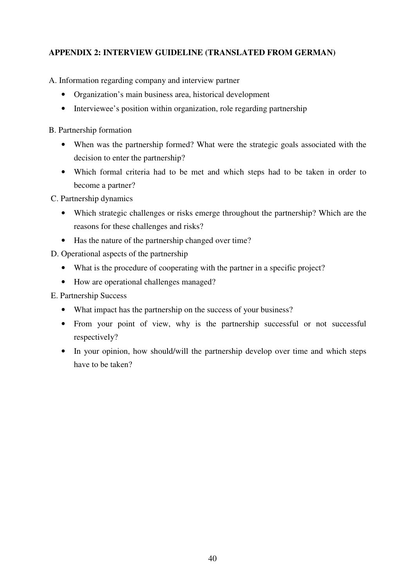## **APPENDIX 2: INTERVIEW GUIDELINE (TRANSLATED FROM GERMAN)**

A. Information regarding company and interview partner

- Organization's main business area, historical development
- Interviewee's position within organization, role regarding partnership

B. Partnership formation

- When was the partnership formed? What were the strategic goals associated with the decision to enter the partnership?
- Which formal criteria had to be met and which steps had to be taken in order to become a partner?

C. Partnership dynamics

- Which strategic challenges or risks emerge throughout the partnership? Which are the reasons for these challenges and risks?
- Has the nature of the partnership changed over time?
- D. Operational aspects of the partnership
	- What is the procedure of cooperating with the partner in a specific project?
	- How are operational challenges managed?

E. Partnership Success

- What impact has the partnership on the success of your business?
- From your point of view, why is the partnership successful or not successful respectively?
- In your opinion, how should/will the partnership develop over time and which steps have to be taken?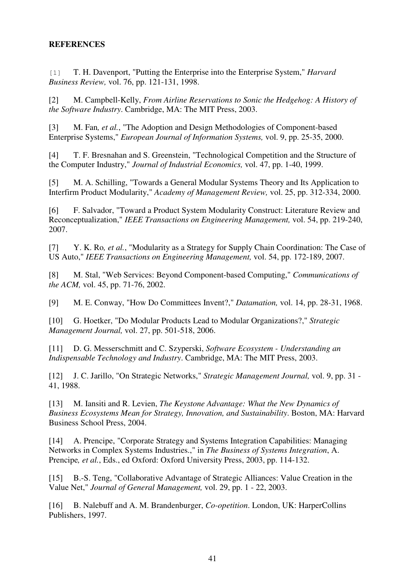## **REFERENCES**

[1] T. H. Davenport, "Putting the Enterprise into the Enterprise System," *Harvard Business Review,* vol. 76, pp. 121-131, 1998.

[2] M. Campbell-Kelly, *From Airline Reservations to Sonic the Hedgehog: A History of the Software Industry*. Cambridge, MA: The MIT Press, 2003.

[3] M. Fan*, et al.*, "The Adoption and Design Methodologies of Component-based Enterprise Systems," *European Journal of Information Systems,* vol. 9, pp. 25-35, 2000.

[4] T. F. Bresnahan and S. Greenstein, "Technological Competition and the Structure of the Computer Industry," *Journal of Industrial Economics,* vol. 47, pp. 1-40, 1999.

[5] M. A. Schilling, "Towards a General Modular Systems Theory and Its Application to Interfirm Product Modularity," *Academy of Management Review,* vol. 25, pp. 312-334, 2000.

[6] F. Salvador, "Toward a Product System Modularity Construct: Literature Review and Reconceptualization," *IEEE Transactions on Engineering Management,* vol. 54, pp. 219-240, 2007.

[7] Y. K. Ro, et al., "Modularity as a Strategy for Supply Chain Coordination: The Case of US Auto," *IEEE Transactions on Engineering Management,* vol. 54, pp. 172-189, 2007.

[8] M. Stal, "Web Services: Beyond Component-based Computing," *Communications of the ACM,* vol. 45, pp. 71-76, 2002.

[9] M. E. Conway, "How Do Committees Invent?," *Datamation,* vol. 14, pp. 28-31, 1968.

[10] G. Hoetker, "Do Modular Products Lead to Modular Organizations?," *Strategic Management Journal,* vol. 27, pp. 501-518, 2006.

[11] D. G. Messerschmitt and C. Szyperski, *Software Ecosystem - Understanding an Indispensable Technology and Industry*. Cambridge, MA: The MIT Press, 2003.

[12] J. C. Jarillo, "On Strategic Networks," *Strategic Management Journal,* vol. 9, pp. 31 - 41, 1988.

[13] M. Iansiti and R. Levien, *The Keystone Advantage: What the New Dynamics of Business Ecosystems Mean for Strategy, Innovation, and Sustainability*. Boston, MA: Harvard Business School Press, 2004.

[14] A. Prencipe, "Corporate Strategy and Systems Integration Capabilities: Managing Networks in Complex Systems Industries.," in *The Business of Systems Integration*, A. Prencipe*, et al.*, Eds., ed Oxford: Oxford University Press, 2003, pp. 114-132.

[15] B.-S. Teng, "Collaborative Advantage of Strategic Alliances: Value Creation in the Value Net," *Journal of General Management,* vol. 29, pp. 1 - 22, 2003.

[16] B. Nalebuff and A. M. Brandenburger, *Co-opetition*. London, UK: HarperCollins Publishers, 1997.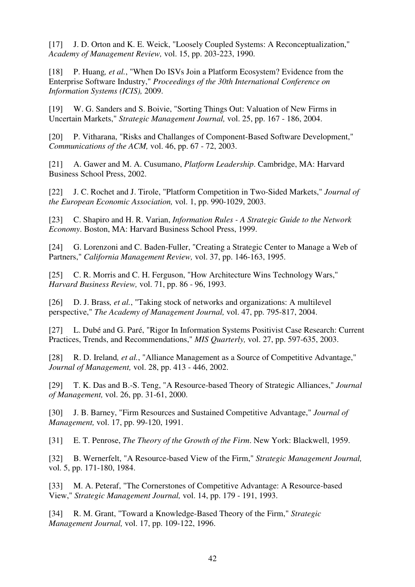[17] J. D. Orton and K. E. Weick, "Loosely Coupled Systems: A Reconceptualization," *Academy of Management Review,* vol. 15, pp. 203-223, 1990.

[18] P. Huang*, et al.*, "When Do ISVs Join a Platform Ecosystem? Evidence from the Enterprise Software Industry," *Proceedings of the 30th International Conference on Information Systems (ICIS),* 2009.

[19] W. G. Sanders and S. Boivie, "Sorting Things Out: Valuation of New Firms in Uncertain Markets," *Strategic Management Journal,* vol. 25, pp. 167 - 186, 2004.

[20] P. Vitharana, "Risks and Challanges of Component-Based Software Development," *Communications of the ACM,* vol. 46, pp. 67 - 72, 2003.

[21] A. Gawer and M. A. Cusumano, *Platform Leadership*. Cambridge, MA: Harvard Business School Press, 2002.

[22] J. C. Rochet and J. Tirole, "Platform Competition in Two-Sided Markets," *Journal of the European Economic Association,* vol. 1, pp. 990-1029, 2003.

[23] C. Shapiro and H. R. Varian, *Information Rules - A Strategic Guide to the Network Economy*. Boston, MA: Harvard Business School Press, 1999.

[24] G. Lorenzoni and C. Baden-Fuller, "Creating a Strategic Center to Manage a Web of Partners," *California Management Review,* vol. 37, pp. 146-163, 1995.

[25] C. R. Morris and C. H. Ferguson, "How Architecture Wins Technology Wars," *Harvard Business Review,* vol. 71, pp. 86 - 96, 1993.

[26] D. J. Brass, *et al.*, "Taking stock of networks and organizations: A multilevel perspective," *The Academy of Management Journal,* vol. 47, pp. 795-817, 2004.

[27] L. Dubé and G. Paré, "Rigor In Information Systems Positivist Case Research: Current Practices, Trends, and Recommendations," *MIS Quarterly,* vol. 27, pp. 597-635, 2003.

[28] R. D. Ireland, *et al.*, "Alliance Management as a Source of Competitive Advantage," *Journal of Management,* vol. 28, pp. 413 - 446, 2002.

[29] T. K. Das and B.-S. Teng, "A Resource-based Theory of Strategic Alliances," *Journal of Management,* vol. 26, pp. 31-61, 2000.

[30] J. B. Barney, "Firm Resources and Sustained Competitive Advantage," *Journal of Management,* vol. 17, pp. 99-120, 1991.

[31] E. T. Penrose, *The Theory of the Growth of the Firm*. New York: Blackwell, 1959.

[32] B. Wernerfelt, "A Resource-based View of the Firm," *Strategic Management Journal,*  vol. 5, pp. 171-180, 1984.

[33] M. A. Peteraf, "The Cornerstones of Competitive Advantage: A Resource-based View," *Strategic Management Journal,* vol. 14, pp. 179 - 191, 1993.

[34] R. M. Grant, "Toward a Knowledge-Based Theory of the Firm," *Strategic Management Journal,* vol. 17, pp. 109-122, 1996.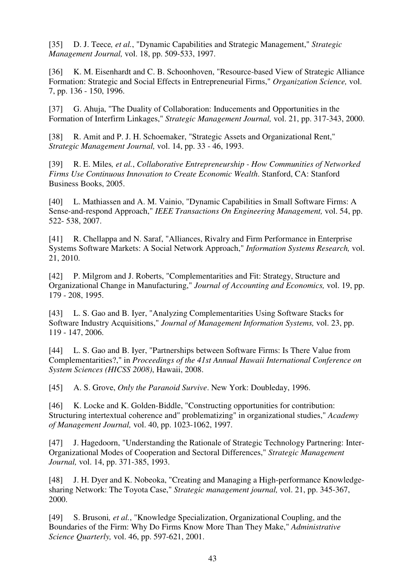[35] D. J. Teece*, et al.*, "Dynamic Capabilities and Strategic Management," *Strategic Management Journal,* vol. 18, pp. 509-533, 1997.

[36] K. M. Eisenhardt and C. B. Schoonhoven, "Resource-based View of Strategic Alliance Formation: Strategic and Social Effects in Entrepreneurial Firms," *Organization Science,* vol. 7, pp. 136 - 150, 1996.

[37] G. Ahuja, "The Duality of Collaboration: Inducements and Opportunities in the Formation of Interfirm Linkages," *Strategic Management Journal,* vol. 21, pp. 317-343, 2000.

[38] R. Amit and P. J. H. Schoemaker, "Strategic Assets and Organizational Rent," *Strategic Management Journal,* vol. 14, pp. 33 - 46, 1993.

[39] R. E. Miles*, et al.*, *Collaborative Entrepreneurship - How Communities of Networked Firms Use Continuous Innovation to Create Economic Wealth*. Stanford, CA: Stanford Business Books, 2005.

[40] L. Mathiassen and A. M. Vainio, "Dynamic Capabilities in Small Software Firms: A Sense-and-respond Approach," *IEEE Transactions On Engineering Management,* vol. 54, pp. 522- 538, 2007.

[41] R. Chellappa and N. Saraf, "Alliances, Rivalry and Firm Performance in Enterprise Systems Software Markets: A Social Network Approach," *Information Systems Research,* vol. 21, 2010.

[42] P. Milgrom and J. Roberts, "Complementarities and Fit: Strategy, Structure and Organizational Change in Manufacturing," *Journal of Accounting and Economics,* vol. 19, pp. 179 - 208, 1995.

[43] L. S. Gao and B. Iyer, "Analyzing Complementarities Using Software Stacks for Software Industry Acquisitions," *Journal of Management Information Systems,* vol. 23, pp. 119 - 147, 2006.

[44] L. S. Gao and B. Iyer, "Partnerships between Software Firms: Is There Value from Complementarities?," in *Proceedings of the 41st Annual Hawaii International Conference on System Sciences (HICSS 2008)*, Hawaii, 2008.

[45] A. S. Grove, *Only the Paranoid Survive*. New York: Doubleday, 1996.

[46] K. Locke and K. Golden-Biddle, "Constructing opportunities for contribution: Structuring intertextual coherence and" problematizing" in organizational studies," *Academy of Management Journal,* vol. 40, pp. 1023-1062, 1997.

[47] J. Hagedoorn, "Understanding the Rationale of Strategic Technology Partnering: Inter-Organizational Modes of Cooperation and Sectoral Differences," *Strategic Management Journal,* vol. 14, pp. 371-385, 1993.

[48] J. H. Dyer and K. Nobeoka, "Creating and Managing a High-performance Knowledgesharing Network: The Toyota Case," *Strategic management journal,* vol. 21, pp. 345-367, 2000.

[49] S. Brusoni*, et al.*, "Knowledge Specialization, Organizational Coupling, and the Boundaries of the Firm: Why Do Firms Know More Than They Make," *Administrative Science Quarterly,* vol. 46, pp. 597-621, 2001.